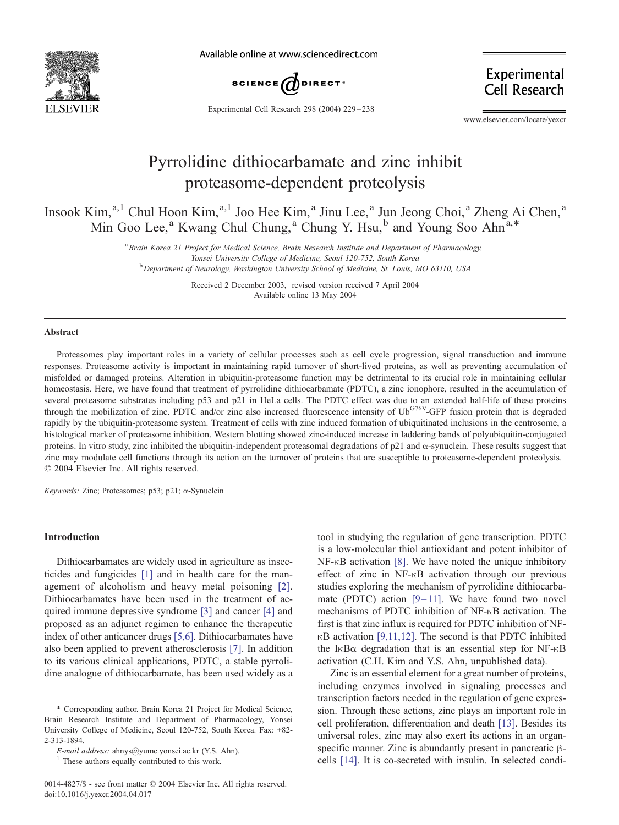

Available online at www.sciencedirect.com



Experimental **Cell Research** 

Experimental Cell Research 298 (2004) 229 – 238

www.elsevier.com/locate/yexcr

# Pyrrolidine dithiocarbamate and zinc inhibit proteasome-dependent proteolysis

Insook Kim, <sup>a,1</sup> Chul Hoon Kim, <sup>a,1</sup> Joo Hee Kim, <sup>a</sup> Jinu Lee, <sup>a</sup> Jun Jeong Choi, <sup>a</sup> Zheng Ai Chen, <sup>a</sup> Min Goo Lee,<sup>a</sup> Kwang Chul Chung,<sup>a</sup> Chung Y. Hsu,<sup>b</sup> and Young Soo Ahn<sup>a,\*</sup>

> <sup>a</sup> Brain Korea 21 Project for Medical Science, Brain Research Institute and Department of Pharmacology, Yonsei University College of Medicine, Seoul 120-752, South Korea <sup>b</sup> Department of Neurology, Washington University School of Medicine, St. Louis, MO 63110, USA

> > Received 2 December 2003, revised version received 7 April 2004 Available online 13 May 2004

#### Abstract

Proteasomes play important roles in a variety of cellular processes such as cell cycle progression, signal transduction and immune responses. Proteasome activity is important in maintaining rapid turnover of short-lived proteins, as well as preventing accumulation of misfolded or damaged proteins. Alteration in ubiquitin-proteasome function may be detrimental to its crucial role in maintaining cellular homeostasis. Here, we have found that treatment of pyrrolidine dithiocarbamate (PDTC), a zinc ionophore, resulted in the accumulation of several proteasome substrates including p53 and p21 in HeLa cells. The PDTC effect was due to an extended half-life of these proteins through the mobilization of zinc. PDTC and/or zinc also increased fluorescence intensity of UbG76V-GFP fusion protein that is degraded rapidly by the ubiquitin-proteasome system. Treatment of cells with zinc induced formation of ubiquitinated inclusions in the centrosome, a histological marker of proteasome inhibition. Western blotting showed zinc-induced increase in laddering bands of polyubiquitin-conjugated proteins. In vitro study, zinc inhibited the ubiquitin-independent proteasomal degradations of  $p21$  and  $\alpha$ -synuclein. These results suggest that zinc may modulate cell functions through its action on the turnover of proteins that are susceptible to proteasome-dependent proteolysis.  $© 2004 Elsevier Inc. All rights reserved.$ 

Keywords: Zinc; Proteasomes; p53; p21;  $\alpha$ -Synuclein

## Introduction

Dithiocarbamates are widely used in agriculture as insecticides and fungicides [\[1\]](#page-8-0) and in health care for the management of alcoholism and heavy metal poisoning [\[2\].](#page-8-0) Dithiocarbamates have been used in the treatment of acquired immune depressive syndrome [\[3\]](#page-8-0) and cancer [\[4\]](#page-8-0) and proposed as an adjunct regimen to enhance the therapeutic index of other anticancer drugs [\[5,6\].](#page-8-0) Dithiocarbamates have also been applied to prevent atherosclerosis [\[7\].](#page-8-0) In addition to its various clinical applications, PDTC, a stable pyrrolidine analogue of dithiocarbamate, has been used widely as a

tool in studying the regulation of gene transcription. PDTC is a low-molecular thiol antioxidant and potent inhibitor of  $NF-\kappa B$  activation [\[8\].](#page-8-0) We have noted the unique inhibitory effect of zinc in  $NF-<sub>K</sub>B$  activation through our previous studies exploring the mechanism of pyrrolidine dithiocarbamate (PDTC) action  $[9-11]$ . We have found two novel mechanisms of PDTC inhibition of NF- $\kappa$ B activation. The first is that zinc influx is required for PDTC inhibition of NF- $\kappa$ B activation [\[9,11,12\].](#page-8-0) The second is that PDTC inhibited the I $\kappa$ B $\alpha$  degradation that is an essential step for NF- $\kappa$ B activation (C.H. Kim and Y.S. Ahn, unpublished data).

Zinc is an essential element for a great number of proteins, including enzymes involved in signaling processes and transcription factors needed in the regulation of gene expression. Through these actions, zinc plays an important role in cell proliferation, differentiation and death [\[13\].](#page-8-0) Besides its universal roles, zinc may also exert its actions in an organspecific manner. Zinc is abundantly present in pancreatic  $\beta$ cells [\[14\].](#page-8-0) It is co-secreted with insulin. In selected condi-

<sup>\*</sup> Corresponding author. Brain Korea 21 Project for Medical Science, Brain Research Institute and Department of Pharmacology, Yonsei University College of Medicine, Seoul 120-752, South Korea. Fax: +82- 2-313-1894.

E-mail address: ahnys@yumc.yonsei.ac.kr (Y.S. Ahn).

<sup>&</sup>lt;sup>1</sup> These authors equally contributed to this work.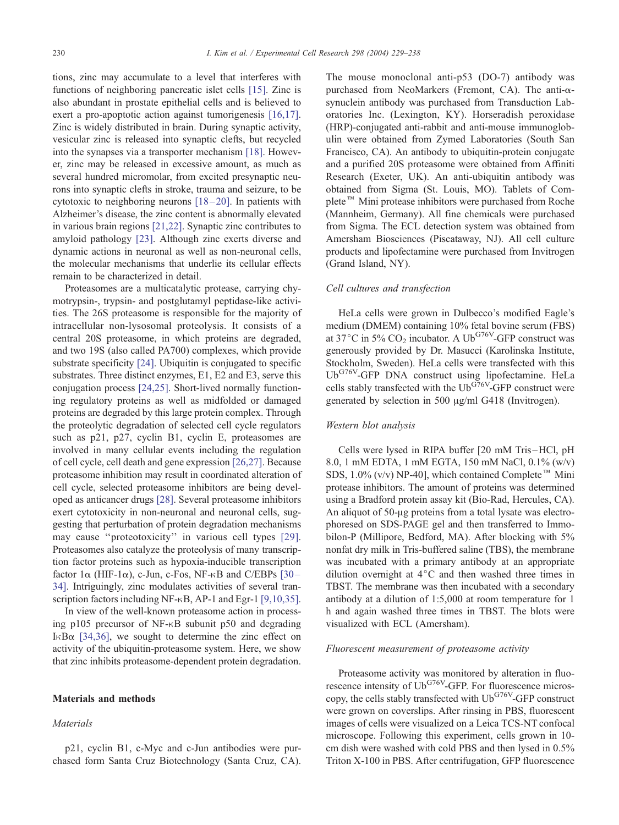tions, zinc may accumulate to a level that interferes with functions of neighboring pancreatic islet cells [\[15\].](#page-8-0) Zinc is also abundant in prostate epithelial cells and is believed to exert a pro-apoptotic action against tumorigenesis [\[16,17\].](#page-8-0) Zinc is widely distributed in brain. During synaptic activity, vesicular zinc is released into synaptic clefts, but recycled into the synapses via a transporter mechanism [\[18\].](#page-8-0) However, zinc may be released in excessive amount, as much as several hundred micromolar, from excited presynaptic neurons into synaptic clefts in stroke, trauma and seizure, to be cytotoxic to neighboring neurons  $[18-20]$ . In patients with Alzheimer's disease, the zinc content is abnormally elevated in various brain regions [\[21,22\].](#page-8-0) Synaptic zinc contributes to amyloid pathology [\[23\].](#page-8-0) Although zinc exerts diverse and dynamic actions in neuronal as well as non-neuronal cells, the molecular mechanisms that underlie its cellular effects remain to be characterized in detail.

Proteasomes are a multicatalytic protease, carrying chymotrypsin-, trypsin- and postglutamyl peptidase-like activities. The 26S proteasome is responsible for the majority of intracellular non-lysosomal proteolysis. It consists of a central 20S proteasome, in which proteins are degraded, and two 19S (also called PA700) complexes, which provide substrate specificity [\[24\].](#page-8-0) Ubiquitin is conjugated to specific substrates. Three distinct enzymes, E1, E2 and E3, serve this conjugation process [\[24,25\].](#page-8-0) Short-lived normally functioning regulatory proteins as well as midfolded or damaged proteins are degraded by this large protein complex. Through the proteolytic degradation of selected cell cycle regulators such as p21, p27, cyclin B1, cyclin E, proteasomes are involved in many cellular events including the regulation of cell cycle, cell death and gene expression [\[26,27\].](#page-8-0) Because proteasome inhibition may result in coordinated alteration of cell cycle, selected proteasome inhibitors are being developed as anticancer drugs [\[28\].](#page-8-0) Several proteasome inhibitors exert cytotoxicity in non-neuronal and neuronal cells, suggesting that perturbation of protein degradation mechanisms may cause ''proteotoxicity'' in various cell types [\[29\].](#page-8-0) Proteasomes also catalyze the proteolysis of many transcription factor proteins such as hypoxia-inducible transcription factor  $1\alpha$  (HIF- $1\alpha$ ), c-Jun, c-Fos, NF- $\kappa$ B and C/EBPs [30– 34]. Intriguingly, zinc modulates activities of several transcription factors including NF- $\kappa$ B, AP-1 and Egr-1 [\[9,10,35\].](#page-8-0)

In view of the well-known proteasome action in processing p105 precursor of NF- $\kappa$ B subunit p50 and degrading I $\kappa$ B $\alpha$  [\[34,36\],](#page-9-0) we sought to determine the zinc effect on activity of the ubiquitin-proteasome system. Here, we show that zinc inhibits proteasome-dependent protein degradation.

#### Materials and methods

#### **Materials**

p21, cyclin B1, c-Myc and c-Jun antibodies were purchased form Santa Cruz Biotechnology (Santa Cruz, CA). The mouse monoclonal anti-p53 (DO-7) antibody was purchased from NeoMarkers (Fremont, CA). The anti- $\alpha$ synuclein antibody was purchased from Transduction Laboratories Inc. (Lexington, KY). Horseradish peroxidase (HRP)-conjugated anti-rabbit and anti-mouse immunoglobulin were obtained from Zymed Laboratories (South San Francisco, CA). An antibody to ubiquitin-protein conjugate and a purified 20S proteasome were obtained from Affiniti Research (Exeter, UK). An anti-ubiquitin antibody was obtained from Sigma (St. Louis, MO). Tablets of Complete<sup>™</sup> Mini protease inhibitors were purchased from Roche (Mannheim, Germany). All fine chemicals were purchased from Sigma. The ECL detection system was obtained from Amersham Biosciences (Piscataway, NJ). All cell culture products and lipofectamine were purchased from Invitrogen (Grand Island, NY).

#### Cell cultures and transfection

HeLa cells were grown in Dulbecco's modified Eagle's medium (DMEM) containing 10% fetal bovine serum (FBS) at 37 $\degree$ C in 5% CO<sub>2</sub> incubator. A Ub<sup>G76V</sup>-GFP construct was generously provided by Dr. Masucci (Karolinska Institute, Stockholm, Sweden). HeLa cells were transfected with this UbG76V-GFP DNA construct using lipofectamine. HeLa cells stably transfected with the  $Ub^{G\bar{7}6V}$ -GFP construct were generated by selection in 500  $\mu$ g/ml G418 (Invitrogen).

## Western blot analysis

Cells were lysed in RIPA buffer [20 mM Tris –HCl, pH 8.0, 1 mM EDTA, 1 mM EGTA, 150 mM NaCl, 0.1% (w/v) SDS, 1.0% (v/v) NP-40], which contained Complete<sup>™</sup> Mini protease inhibitors. The amount of proteins was determined using a Bradford protein assay kit (Bio-Rad, Hercules, CA). An aliquot of 50-µg proteins from a total lysate was electrophoresed on SDS-PAGE gel and then transferred to Immobilon-P (Millipore, Bedford, MA). After blocking with 5% nonfat dry milk in Tris-buffered saline (TBS), the membrane was incubated with a primary antibody at an appropriate dilution overnight at  $4^{\circ}$ C and then washed three times in TBST. The membrane was then incubated with a secondary antibody at a dilution of 1:5,000 at room temperature for 1 h and again washed three times in TBST. The blots were visualized with ECL (Amersham).

#### Fluorescent measurement of proteasome activity

Proteasome activity was monitored by alteration in fluorescence intensity of Ub<sup>G76V</sup>-GFP. For fluorescence microscopy, the cells stably transfected with  $Ub^{G76V}$ -GFP construct were grown on coverslips. After rinsing in PBS, fluorescent images of cells were visualized on a Leica TCS-NT confocal microscope. Following this experiment, cells grown in 10 cm dish were washed with cold PBS and then lysed in 0.5% Triton X-100 in PBS. After centrifugation, GFP fluorescence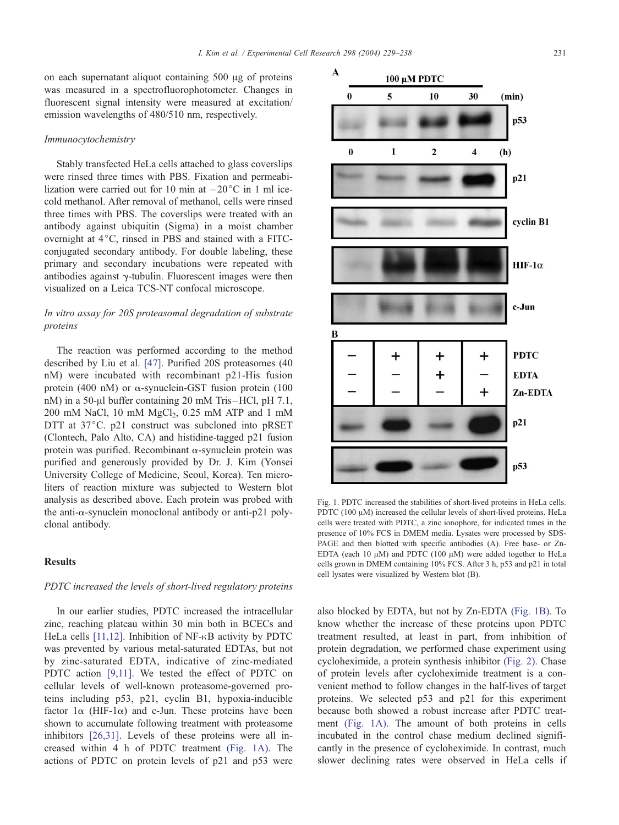$\mathbf{A}$ 

on each supernatant aliquot containing  $500 \mu g$  of proteins was measured in a spectrofluorophotometer. Changes in fluorescent signal intensity were measured at excitation/ emission wavelengths of 480/510 nm, respectively.

#### Immunocytochemistry

Stably transfected HeLa cells attached to glass coverslips were rinsed three times with PBS. Fixation and permeabilization were carried out for 10 min at  $-20^{\circ}$ C in 1 ml icecold methanol. After removal of methanol, cells were rinsed three times with PBS. The coverslips were treated with an antibody against ubiquitin (Sigma) in a moist chamber overnight at  $4^{\circ}$ C, rinsed in PBS and stained with a FITCconjugated secondary antibody. For double labeling, these primary and secondary incubations were repeated with antibodies against  $\gamma$ -tubulin. Fluorescent images were then visualized on a Leica TCS-NT confocal microscope.

## In vitro assay for 20S proteasomal degradation of substrate proteins

The reaction was performed according to the method described by Liu et al. [\[47\].](#page-9-0) Purified 20S proteasomes (40 nM) were incubated with recombinant p21-His fusion protein (400 nM) or  $\alpha$ -synuclein-GST fusion protein (100 nM) in a 50- $\mu$ l buffer containing 20 mM Tris-HCl, pH 7.1, 200 mM NaCl, 10 mM  $MgCl<sub>2</sub>$ , 0.25 mM ATP and 1 mM DTT at  $37^{\circ}$ C. p21 construct was subcloned into pRSET (Clontech, Palo Alto, CA) and histidine-tagged p21 fusion protein was purified. Recombinant  $\alpha$ -synuclein protein was purified and generously provided by Dr. J. Kim (Yonsei University College of Medicine, Seoul, Korea). Ten microliters of reaction mixture was subjected to Western blot analysis as described above. Each protein was probed with the anti- $\alpha$ -synuclein monoclonal antibody or anti-p21 polyclonal antibody.

## Results

#### PDTC increased the levels of short-lived regulatory proteins

In our earlier studies, PDTC increased the intracellular zinc, reaching plateau within 30 min both in BCECs and HeLa cells  $[11,12]$ . Inhibition of NF- $\kappa$ B activity by PDTC was prevented by various metal-saturated EDTAs, but not by zinc-saturated EDTA, indicative of zinc-mediated PDTC action [\[9,11\].](#page-8-0) We tested the effect of PDTC on cellular levels of well-known proteasome-governed proteins including p53, p21, cyclin B1, hypoxia-inducible factor  $1\alpha$  (HIF-1 $\alpha$ ) and c-Jun. These proteins have been shown to accumulate following treatment with proteasome inhibitors [\[26,31\].](#page-8-0) Levels of these proteins were all increased within 4 h of PDTC treatment (Fig. 1A). The actions of PDTC on protein levels of p21 and p53 were



Fig. 1. PDTC increased the stabilities of short-lived proteins in HeLa cells. PDTC (100  $\mu$ M) increased the cellular levels of short-lived proteins. HeLa cells were treated with PDTC, a zinc ionophore, for indicated times in the presence of 10% FCS in DMEM media. Lysates were processed by SDS-PAGE and then blotted with specific antibodies (A). Free base- or Zn-EDTA (each 10  $\mu$ M) and PDTC (100  $\mu$ M) were added together to HeLa cells grown in DMEM containing 10% FCS. After 3 h, p53 and p21 in total cell lysates were visualized by Western blot (B).

also blocked by EDTA, but not by Zn-EDTA (Fig. 1B). To know whether the increase of these proteins upon PDTC treatment resulted, at least in part, from inhibition of protein degradation, we performed chase experiment using cycloheximide, a protein synthesis inhibitor [\(Fig. 2\).](#page-3-0) Chase of protein levels after cycloheximide treatment is a convenient method to follow changes in the half-lives of target proteins. We selected p53 and p21 for this experiment because both showed a robust increase after PDTC treatment (Fig. 1A). The amount of both proteins in cells incubated in the control chase medium declined significantly in the presence of cycloheximide. In contrast, much slower declining rates were observed in HeLa cells if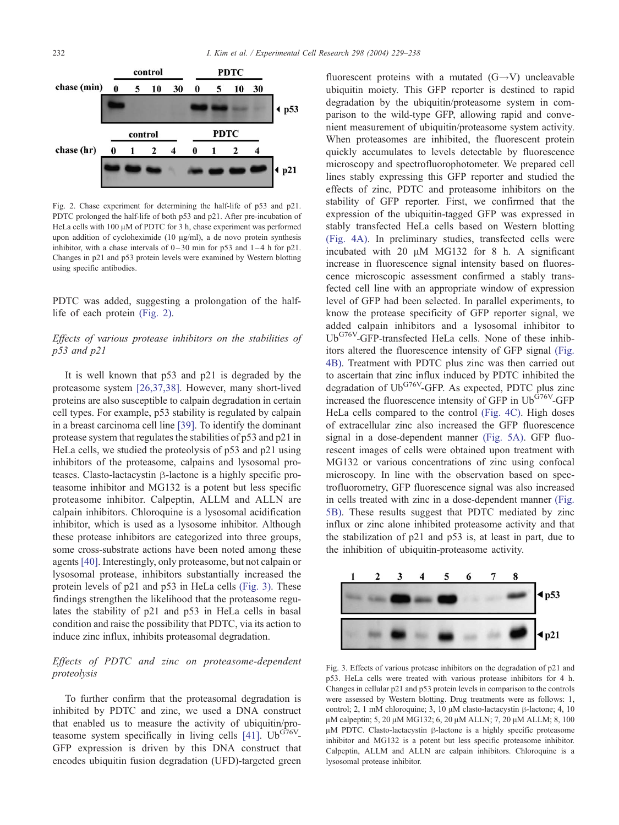<span id="page-3-0"></span>

Fig. 2. Chase experiment for determining the half-life of p53 and p21. PDTC prolonged the half-life of both p53 and p21. After pre-incubation of HeLa cells with 100  $\mu$ M of PDTC for 3 h, chase experiment was performed upon addition of cycloheximide (10  $\mu$ g/ml), a de novo protein synthesis inhibitor, with a chase intervals of  $0-30$  min for p53 and  $1-4$  h for p21. Changes in p21 and p53 protein levels were examined by Western blotting using specific antibodies.

PDTC was added, suggesting a prolongation of the halflife of each protein (Fig. 2).

## Effects of various protease inhibitors on the stabilities of p53 and p21

It is well known that p53 and p21 is degraded by the proteasome system [\[26,37,38\].](#page-8-0) However, many short-lived proteins are also susceptible to calpain degradation in certain cell types. For example, p53 stability is regulated by calpain in a breast carcinoma cell line [\[39\].](#page-9-0) To identify the dominant protease system that regulates the stabilities of p53 and p21 in HeLa cells, we studied the proteolysis of p53 and p21 using inhibitors of the proteasome, calpains and lysosomal proteases. Clasto-lactacystin  $\beta$ -lactone is a highly specific proteasome inhibitor and MG132 is a potent but less specific proteasome inhibitor. Calpeptin, ALLM and ALLN are calpain inhibitors. Chloroquine is a lysosomal acidification inhibitor, which is used as a lysosome inhibitor. Although these protease inhibitors are categorized into three groups, some cross-substrate actions have been noted among these agents [\[40\].](#page-9-0) Interestingly, only proteasome, but not calpain or lysosomal protease, inhibitors substantially increased the protein levels of p21 and p53 in HeLa cells (Fig. 3). These findings strengthen the likelihood that the proteasome regulates the stability of p21 and p53 in HeLa cells in basal condition and raise the possibility that PDTC, via its action to induce zinc influx, inhibits proteasomal degradation.

## Effects of PDTC and zinc on proteasome-dependent proteolysis

To further confirm that the proteasomal degradation is inhibited by PDTC and zinc, we used a DNA construct that enabled us to measure the activity of ubiquitin/pro-teasome system specifically in living cells [\[41\].](#page-9-0)  $Ub^{G76V}$ -GFP expression is driven by this DNA construct that encodes ubiquitin fusion degradation (UFD)-targeted green

fluorescent proteins with a mutated  $(G \rightarrow V)$  uncleavable ubiquitin moiety. This GFP reporter is destined to rapid degradation by the ubiquitin/proteasome system in comparison to the wild-type GFP, allowing rapid and convenient measurement of ubiquitin/proteasome system activity. When proteasomes are inhibited, the fluorescent protein quickly accumulates to levels detectable by fluorescence microscopy and spectrofluorophotometer. We prepared cell lines stably expressing this GFP reporter and studied the effects of zinc, PDTC and proteasome inhibitors on the stability of GFP reporter. First, we confirmed that the expression of the ubiquitin-tagged GFP was expressed in stably transfected HeLa cells based on Western blotting [\(Fig. 4A\).](#page-4-0) In preliminary studies, transfected cells were incubated with 20  $\mu$ M MG132 for 8 h. A significant increase in fluorescence signal intensity based on fluorescence microscopic assessment confirmed a stably transfected cell line with an appropriate window of expression level of GFP had been selected. In parallel experiments, to know the protease specificity of GFP reporter signal, we added calpain inhibitors and a lysosomal inhibitor to Ub<sup>G76V</sup>-GFP-transfected HeLa cells. None of these inhibitors altered the fluorescence intensity of GFP signal [\(Fig.](#page-4-0) 4B). Treatment with PDTC plus zinc was then carried out to ascertain that zinc influx induced by PDTC inhibited the degradation of  $Ub^{G76V}$ -GFP. As expected, PDTC plus zinc increased the fluorescence intensity of GFP in  $Ub^{\tilde{G}76V}$ -GFP HeLa cells compared to the control [\(Fig. 4C\).](#page-4-0) High doses of extracellular zinc also increased the GFP fluorescence signal in a dose-dependent manner [\(Fig. 5A\).](#page-4-0) GFP fluorescent images of cells were obtained upon treatment with MG132 or various concentrations of zinc using confocal microscopy. In line with the observation based on spectrofluorometry, GFP fluorescence signal was also increased in cells treated with zinc in a dose-dependent manner [\(Fig.](#page-4-0) 5B). These results suggest that PDTC mediated by zinc influx or zinc alone inhibited proteasome activity and that the stabilization of p21 and p53 is, at least in part, due to the inhibition of ubiquitin-proteasome activity.



Fig. 3. Effects of various protease inhibitors on the degradation of p21 and p53. HeLa cells were treated with various protease inhibitors for 4 h. Changes in cellular p21 and p53 protein levels in comparison to the controls were assessed by Western blotting. Drug treatments were as follows: 1, control; 2, 1 mM chloroquine; 3, 10  $\mu$ M clasto-lactacystin  $\beta$ -lactone; 4, 10 μM calpeptin; 5, 20 μM MG132; 6, 20 μM ALLN; 7, 20 μM ALLM; 8, 100  $\mu$ M PDTC. Clasto-lactacystin  $\beta$ -lactone is a highly specific proteasome inhibitor and MG132 is a potent but less specific proteasome inhibitor. Calpeptin, ALLM and ALLN are calpain inhibitors. Chloroquine is a lysosomal protease inhibitor.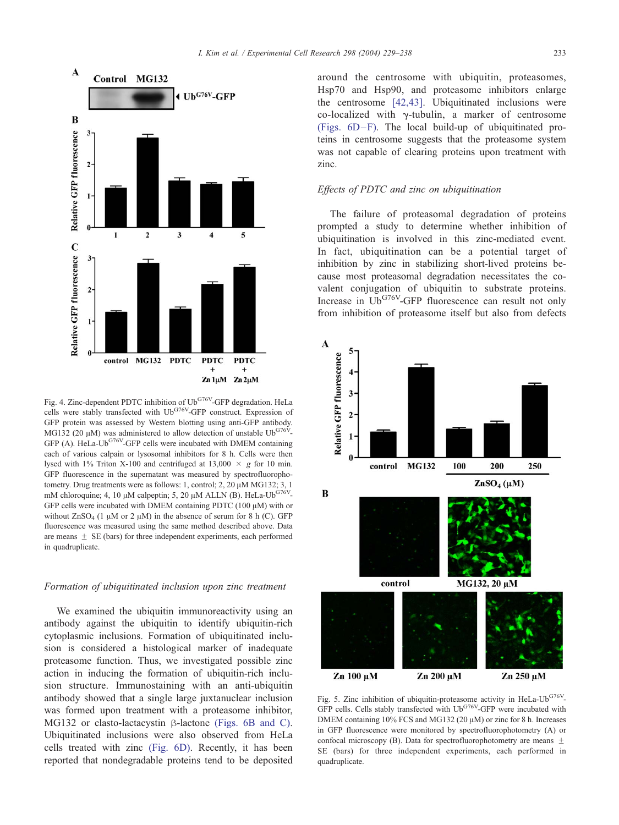<span id="page-4-0"></span>

Fig. 4. Zinc-dependent PDTC inhibition of Ub<sup>G76V</sup>-GFP degradation. HeLa cells were stably transfected with Ub<sup>G76V</sup>-GFP construct. Expression of GFP protein was assessed by Western blotting using anti-GFP antibody. MG132 (20  $\mu$ M) was administered to allow detection of unstable Ub<sup>G76V</sup>-GFP (A). HeLa-Ub<sup>G76V</sup>-GFP cells were incubated with DMEM containing each of various calpain or lysosomal inhibitors for 8 h. Cells were then lysed with 1% Triton X-100 and centrifuged at 13,000  $\times$  g for 10 min. GFP fluorescence in the supernatant was measured by spectrofluorophotometry. Drug treatments were as follows: 1, control; 2, 20  $\mu$ M MG132; 3, 1 mM chloroquine; 4, 10  $\mu$ M calpeptin; 5, 20  $\mu$ M ALLN (B). HeLa-Ub<sup>G76V</sup>-GFP cells were incubated with DMEM containing PDTC (100  $\mu$ M) with or without  $ZnSO_4$  (1  $\mu$ M or 2  $\mu$ M) in the absence of serum for 8 h (C). GFP fluorescence was measured using the same method described above. Data are means  $+$  SE (bars) for three independent experiments, each performed in quadruplicate.

#### Formation of ubiquitinated inclusion upon zinc treatment

We examined the ubiquitin immunoreactivity using an antibody against the ubiquitin to identify ubiquitin-rich cytoplasmic inclusions. Formation of ubiquitinated inclusion is considered a histological marker of inadequate proteasome function. Thus, we investigated possible zinc action in inducing the formation of ubiquitin-rich inclusion structure. Immunostaining with an anti-ubiquitin antibody showed that a single large juxtanuclear inclusion was formed upon treatment with a proteasome inhibitor, MG132 or clasto-lactacystin  $\beta$ -lactone [\(Figs. 6B and C\).](#page-5-0) Ubiquitinated inclusions were also observed from HeLa cells treated with zinc [\(Fig. 6D\).](#page-5-0) Recently, it has been reported that nondegradable proteins tend to be deposited around the centrosome with ubiquitin, proteasomes, Hsp70 and Hsp90, and proteasome inhibitors enlarge the centrosome [\[42,43\].](#page-9-0) Ubiquitinated inclusions were co-localized with  $\gamma$ -tubulin, a marker of centrosome (Figs.  $6D-F$ ). The local build-up of ubiquitinated proteins in centrosome suggests that the proteasome system was not capable of clearing proteins upon treatment with zinc.

#### Effects of PDTC and zinc on ubiquitination

The failure of proteasomal degradation of proteins prompted a study to determine whether inhibition of ubiquitination is involved in this zinc-mediated event. In fact, ubiquitination can be a potential target of inhibition by zinc in stabilizing short-lived proteins because most proteasomal degradation necessitates the covalent conjugation of ubiquitin to substrate proteins. Increase in  $Ub^{G76V}$ -GFP fluorescence can result not only from inhibition of proteasome itself but also from defects



Fig. 5. Zinc inhibition of ubiquitin-proteasome activity in HeLa-Ub<sup>G76V</sup>-GFP cells. Cells stably transfected with Ub<sup>G76V</sup>-GFP were incubated with DMEM containing  $10\%$  FCS and MG132 (20  $\mu$ M) or zinc for 8 h. Increases in GFP fluorescence were monitored by spectrofluorophotometry (A) or confocal microscopy (B). Data for spectrofluorophotometry are means  $\pm$ SE (bars) for three independent experiments, each performed in quadruplicate.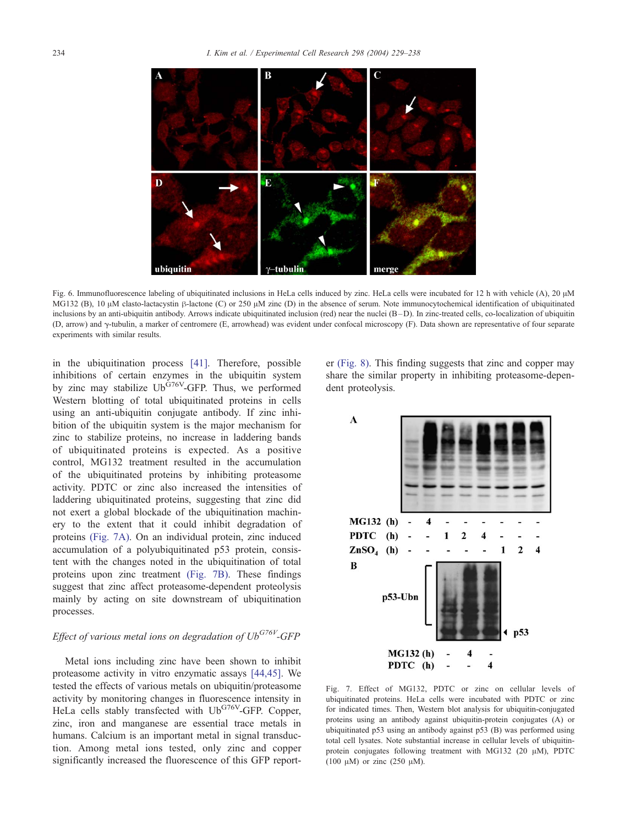<span id="page-5-0"></span>

Fig. 6. Immunofluorescence labeling of ubiquitinated inclusions in HeLa cells induced by zinc. HeLa cells were incubated for 12 h with vehicle (A), 20  $\mu$ M MG132 (B), 10  $\mu$ M clasto-lactacystin  $\beta$ -lactone (C) or 250  $\mu$ M zinc (D) in the absence of serum. Note immunocytochemical identification of ubiquitinated inclusions by an anti-ubiquitin antibody. Arrows indicate ubiquitinated inclusion (red) near the nuclei (B-D). In zinc-treated cells, co-localization of ubiquitin (D, arrow) and g-tubulin, a marker of centromere (E, arrowhead) was evident under confocal microscopy (F). Data shown are representative of four separate experiments with similar results.

in the ubiquitination process [\[41\].](#page-9-0) Therefore, possible inhibitions of certain enzymes in the ubiquitin system by zinc may stabilize  $Ub^{G76V}$ -GFP. Thus, we performed Western blotting of total ubiquitinated proteins in cells using an anti-ubiquitin conjugate antibody. If zinc inhibition of the ubiquitin system is the major mechanism for zinc to stabilize proteins, no increase in laddering bands of ubiquitinated proteins is expected. As a positive control, MG132 treatment resulted in the accumulation of the ubiquitinated proteins by inhibiting proteasome activity. PDTC or zinc also increased the intensities of laddering ubiquitinated proteins, suggesting that zinc did not exert a global blockade of the ubiquitination machinery to the extent that it could inhibit degradation of proteins (Fig. 7A). On an individual protein, zinc induced accumulation of a polyubiquitinated p53 protein, consistent with the changes noted in the ubiquitination of total proteins upon zinc treatment (Fig. 7B). These findings suggest that zinc affect proteasome-dependent proteolysis mainly by acting on site downstream of ubiquitination processes.

## Effect of various metal ions on degradation of  $Ub^{G76V}$ -GFP

Metal ions including zinc have been shown to inhibit proteasome activity in vitro enzymatic assays [\[44,45\].](#page-9-0) We tested the effects of various metals on ubiquitin/proteasome activity by monitoring changes in fluorescence intensity in HeLa cells stably transfected with Ub<sup>G76V</sup>-GFP. Copper, zinc, iron and manganese are essential trace metals in humans. Calcium is an important metal in signal transduction. Among metal ions tested, only zinc and copper significantly increased the fluorescence of this GFP reporter [\(Fig. 8\).](#page-6-0) This finding suggests that zinc and copper may share the similar property in inhibiting proteasome-dependent proteolysis.



Fig. 7. Effect of MG132, PDTC or zinc on cellular levels of ubiquitinated proteins. HeLa cells were incubated with PDTC or zinc for indicated times. Then, Western blot analysis for ubiquitin-conjugated proteins using an antibody against ubiquitin-protein conjugates (A) or ubiquitinated p53 using an antibody against p53 (B) was performed using total cell lysates. Note substantial increase in cellular levels of ubiquitinprotein conjugates following treatment with MG132 (20  $\mu$ M), PDTC (100  $\mu$ M) or zinc (250  $\mu$ M).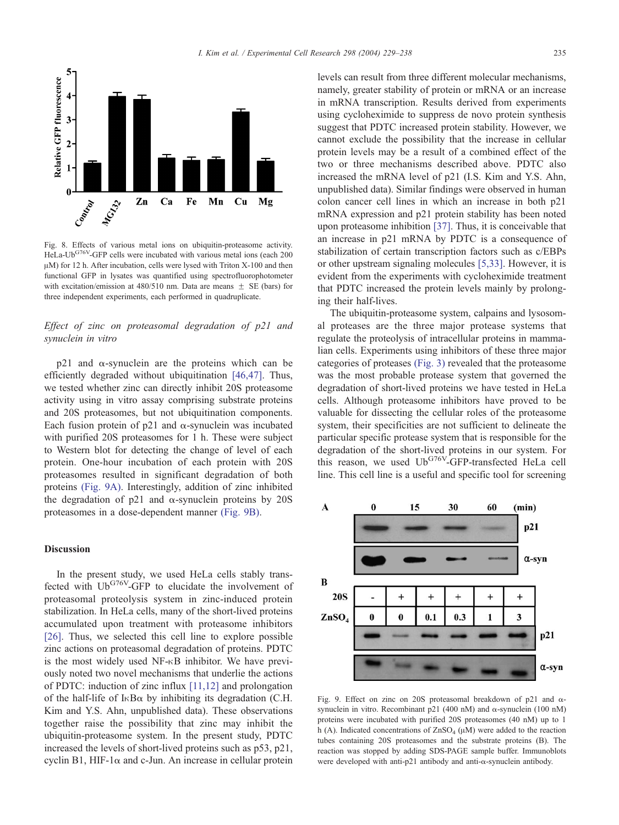<span id="page-6-0"></span>

Fig. 8. Effects of various metal ions on ubiquitin-proteasome activity. HeLa-Ub<sup>G76V</sup>-GFP cells were incubated with various metal ions (each 200  $\mu$ M) for 12 h. After incubation, cells were lysed with Triton X-100 and then functional GFP in lysates was quantified using spectrofluorophotometer with excitation/emission at 480/510 nm. Data are means  $\pm$  SE (bars) for three independent experiments, each performed in quadruplicate.

## Effect of zinc on proteasomal degradation of p21 and synuclein in vitro

 $p21$  and  $\alpha$ -synuclein are the proteins which can be efficiently degraded without ubiquitination [\[46,47\].](#page-9-0) Thus, we tested whether zinc can directly inhibit 20S proteasome activity using in vitro assay comprising substrate proteins and 20S proteasomes, but not ubiquitination components. Each fusion protein of  $p21$  and  $\alpha$ -synuclein was incubated with purified 20S proteasomes for 1 h. These were subject to Western blot for detecting the change of level of each protein. One-hour incubation of each protein with 20S proteasomes resulted in significant degradation of both proteins (Fig. 9A). Interestingly, addition of zinc inhibited the degradation of p21 and  $\alpha$ -synuclein proteins by 20S proteasomes in a dose-dependent manner (Fig. 9B).

#### Discussion

In the present study, we used HeLa cells stably transfected with Ub<sup>G76V</sup>-GFP to elucidate the involvement of proteasomal proteolysis system in zinc-induced protein stabilization. In HeLa cells, many of the short-lived proteins accumulated upon treatment with proteasome inhibitors [\[26\].](#page-8-0) Thus, we selected this cell line to explore possible zinc actions on proteasomal degradation of proteins. PDTC is the most widely used  $NF-\kappa B$  inhibitor. We have previously noted two novel mechanisms that underlie the actions of PDTC: induction of zinc influx [\[11,12\]](#page-8-0) and prolongation of the half-life of  $I \kappa B\alpha$  by inhibiting its degradation (C.H. Kim and Y.S. Ahn, unpublished data). These observations together raise the possibility that zinc may inhibit the ubiquitin-proteasome system. In the present study, PDTC increased the levels of short-lived proteins such as p53, p21, cyclin B1, HIF-1 $\alpha$  and c-Jun. An increase in cellular protein

levels can result from three different molecular mechanisms, namely, greater stability of protein or mRNA or an increase in mRNA transcription. Results derived from experiments using cycloheximide to suppress de novo protein synthesis suggest that PDTC increased protein stability. However, we cannot exclude the possibility that the increase in cellular protein levels may be a result of a combined effect of the two or three mechanisms described above. PDTC also increased the mRNA level of p21 (I.S. Kim and Y.S. Ahn, unpublished data). Similar findings were observed in human colon cancer cell lines in which an increase in both p21 mRNA expression and p21 protein stability has been noted upon proteasome inhibition [\[37\].](#page-9-0) Thus, it is conceivable that an increase in p21 mRNA by PDTC is a consequence of stabilization of certain transcription factors such as c/EBPs or other upstream signaling molecules [\[5,33\].](#page-8-0) However, it is evident from the experiments with cycloheximide treatment that PDTC increased the protein levels mainly by prolonging their half-lives.

The ubiquitin-proteasome system, calpains and lysosomal proteases are the three major protease systems that regulate the proteolysis of intracellular proteins in mammalian cells. Experiments using inhibitors of these three major categories of proteases [\(Fig. 3\)](#page-3-0) revealed that the proteasome was the most probable protease system that governed the degradation of short-lived proteins we have tested in HeLa cells. Although proteasome inhibitors have proved to be valuable for dissecting the cellular roles of the proteasome system, their specificities are not sufficient to delineate the particular specific protease system that is responsible for the degradation of the short-lived proteins in our system. For this reason, we used  $Ub^{G76V}$ -GFP-transfected HeLa cell line. This cell line is a useful and specific tool for screening



Fig. 9. Effect on zinc on 20S proteasomal breakdown of p21 and asynuclein in vitro. Recombinant p21 (400 nM) and  $\alpha$ -synuclein (100 nM) proteins were incubated with purified 20S proteasomes (40 nM) up to 1 h (A). Indicated concentrations of  $ZnSO_4$  ( $\mu$ M) were added to the reaction tubes containing 20S proteasomes and the substrate proteins (B). The reaction was stopped by adding SDS-PAGE sample buffer. Immunoblots were developed with anti-p21 antibody and anti-a-synuclein antibody.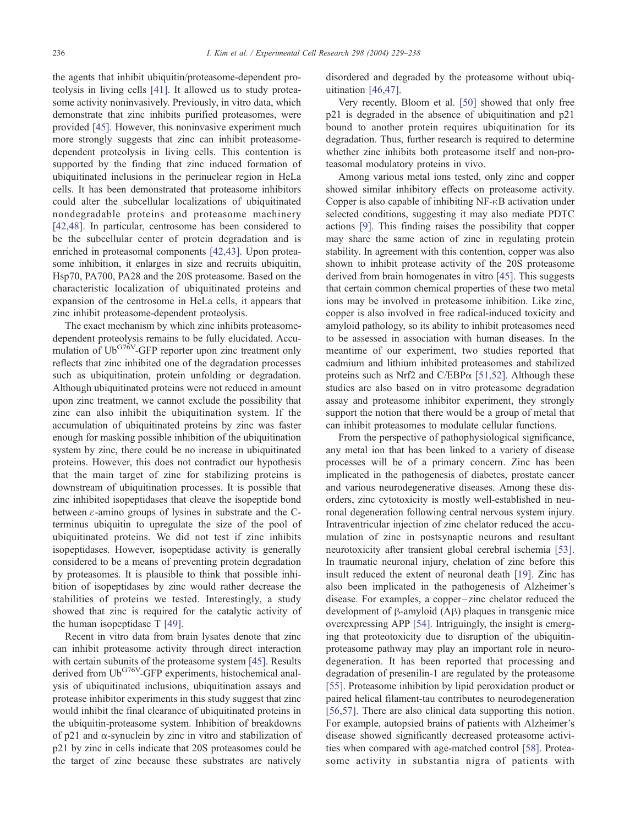the agents that inhibit ubiquitin/proteasome-dependent proteolysis in living cells [\[41\].](#page-9-0) It allowed us to study proteasome activity noninvasively. Previously, in vitro data, which demonstrate that zinc inhibits purified proteasomes, were provided [\[45\].](#page-9-0) However, this noninvasive experiment much more strongly suggests that zinc can inhibit proteasomedependent proteolysis in living cells. This contention is supported by the finding that zinc induced formation of ubiquitinated inclusions in the perinuclear region in HeLa cells. It has been demonstrated that proteasome inhibitors could alter the subcellular localizations of ubiquitinated nondegradable proteins and proteasome machinery [\[42,48\].](#page-9-0) In particular, centrosome has been considered to be the subcellular center of protein degradation and is enriched in proteasomal components [\[42,43\].](#page-9-0) Upon proteasome inhibition, it enlarges in size and recruits ubiquitin, Hsp70, PA700, PA28 and the 20S proteasome. Based on the characteristic localization of ubiquitinated proteins and expansion of the centrosome in HeLa cells, it appears that zinc inhibit proteasome-dependent proteolysis.

The exact mechanism by which zinc inhibits proteasomedependent proteolysis remains to be fully elucidated. Accumulation of  $Ub^{G76V}$ -GFP reporter upon zinc treatment only reflects that zinc inhibited one of the degradation processes such as ubiquitination, protein unfolding or degradation. Although ubiquitinated proteins were not reduced in amount upon zinc treatment, we cannot exclude the possibility that zinc can also inhibit the ubiquitination system. If the accumulation of ubiquitinated proteins by zinc was faster enough for masking possible inhibition of the ubiquitination system by zinc, there could be no increase in ubiquitinated proteins. However, this does not contradict our hypothesis that the main target of zinc for stabilizing proteins is downstream of ubiquitination processes. It is possible that zinc inhibited isopeptidases that cleave the isopeptide bond between  $\varepsilon$ -amino groups of lysines in substrate and the Cterminus ubiquitin to upregulate the size of the pool of ubiquitinated proteins. We did not test if zinc inhibits isopeptidases. However, isopeptidase activity is generally considered to be a means of preventing protein degradation by proteasomes. It is plausible to think that possible inhibition of isopeptidases by zinc would rather decrease the stabilities of proteins we tested. Interestingly, a study showed that zinc is required for the catalytic activity of the human isopeptidase T [\[49\].](#page-9-0)

Recent in vitro data from brain lysates denote that zinc can inhibit proteasome activity through direct interaction with certain subunits of the proteasome system [\[45\].](#page-9-0) Results derived from Ub<sup>G76V</sup>-GFP experiments, histochemical analysis of ubiquitinated inclusions, ubiquitination assays and protease inhibitor experiments in this study suggest that zinc would inhibit the final clearance of ubiquitinated proteins in the ubiquitin-proteasome system. Inhibition of breakdowns of  $p21$  and  $\alpha$ -synuclein by zinc in vitro and stabilization of p21 by zinc in cells indicate that 20S proteasomes could be the target of zinc because these substrates are natively

disordered and degraded by the proteasome without ubiquitination [\[46,47\].](#page-9-0)

Very recently, Bloom et al. [\[50\]](#page-9-0) showed that only free p21 is degraded in the absence of ubiquitination and p21 bound to another protein requires ubiquitination for its degradation. Thus, further research is required to determine whether zinc inhibits both proteasome itself and non-proteasomal modulatory proteins in vivo.

Among various metal ions tested, only zinc and copper showed similar inhibitory effects on proteasome activity. Copper is also capable of inhibiting  $NF \rightarrow B$  activation under selected conditions, suggesting it may also mediate PDTC actions [\[9\].](#page-8-0) This finding raises the possibility that copper may share the same action of zinc in regulating protein stability. In agreement with this contention, copper was also shown to inhibit protease activity of the 20S proteasome derived from brain homogenates in vitro [\[45\].](#page-9-0) This suggests that certain common chemical properties of these two metal ions may be involved in proteasome inhibition. Like zinc, copper is also involved in free radical-induced toxicity and amyloid pathology, so its ability to inhibit proteasomes need to be assessed in association with human diseases. In the meantime of our experiment, two studies reported that cadmium and lithium inhibited proteasomes and stabilized proteins such as Nrf2 and C/EBP $\alpha$  [\[51,52\].](#page-9-0) Although these studies are also based on in vitro proteasome degradation assay and proteasome inhibitor experiment, they strongly support the notion that there would be a group of metal that can inhibit proteasomes to modulate cellular functions.

From the perspective of pathophysiological significance, any metal ion that has been linked to a variety of disease processes will be of a primary concern. Zinc has been implicated in the pathogenesis of diabetes, prostate cancer and various neurodegenerative diseases. Among these disorders, zinc cytotoxicity is mostly well-established in neuronal degeneration following central nervous system injury. Intraventricular injection of zinc chelator reduced the accumulation of zinc in postsynaptic neurons and resultant neurotoxicity after transient global cerebral ischemia [\[53\].](#page-9-0) In traumatic neuronal injury, chelation of zinc before this insult reduced the extent of neuronal death [\[19\].](#page-8-0) Zinc has also been implicated in the pathogenesis of Alzheimer's disease. For examples, a copper-zinc chelator reduced the development of  $\beta$ -amyloid  $(A\beta)$  plaques in transgenic mice overexpressing APP [\[54\].](#page-9-0) Intriguingly, the insight is emerging that proteotoxicity due to disruption of the ubiquitinproteasome pathway may play an important role in neurodegeneration. It has been reported that processing and degradation of presenilin-1 are regulated by the proteasome [\[55\].](#page-9-0) Proteasome inhibition by lipid peroxidation product or paired helical filament-tau contributes to neurodegeneration [\[56,57\].](#page-9-0) There are also clinical data supporting this notion. For example, autopsied brains of patients with Alzheimer's disease showed significantly decreased proteasome activities when compared with age-matched control [\[58\].](#page-9-0) Proteasome activity in substantia nigra of patients with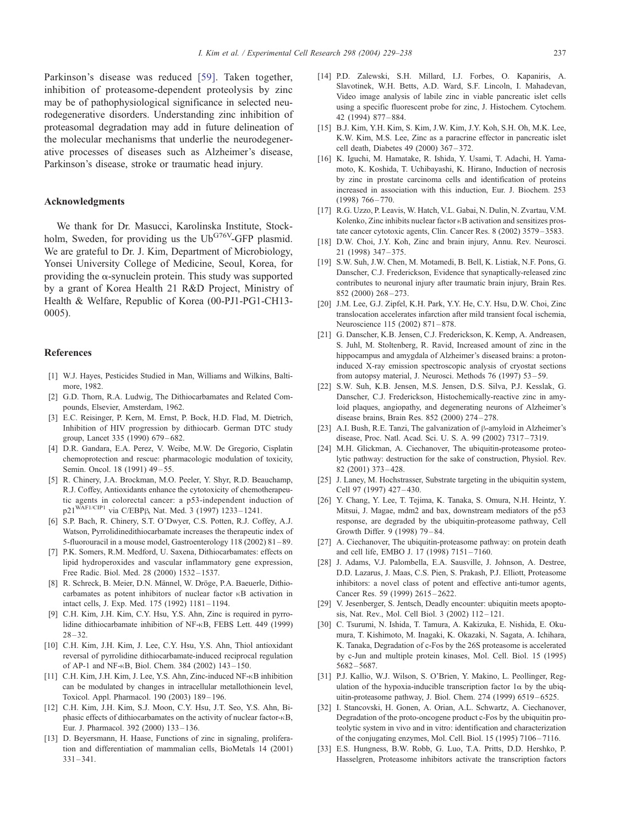<span id="page-8-0"></span>Parkinson's disease was reduced [\[59\].](#page-9-0) Taken together, inhibition of proteasome-dependent proteolysis by zinc may be of pathophysiological significance in selected neurodegenerative disorders. Understanding zinc inhibition of proteasomal degradation may add in future delineation of the molecular mechanisms that underlie the neurodegenerative processes of diseases such as Alzheimer's disease, Parkinson's disease, stroke or traumatic head injury.

#### Acknowledgments

We thank for Dr. Masucci, Karolinska Institute, Stockholm, Sweden, for providing us the  $Ub^{G76V}$ -GFP plasmid. We are grateful to Dr. J. Kim, Department of Microbiology, Yonsei University College of Medicine, Seoul, Korea, for providing the  $\alpha$ -synuclein protein. This study was supported by a grant of Korea Health 21 R&D Project, Ministry of Health & Welfare, Republic of Korea (00-PJ1-PG1-CH13- 0005).

#### References

- [1] W.J. Hayes, Pesticides Studied in Man, Williams and Wilkins, Baltimore, 1982.
- [2] G.D. Thorn, R.A. Ludwig, The Dithiocarbamates and Related Compounds, Elsevier, Amsterdam, 1962.
- [3] E.C. Reisinger, P. Kern, M. Ernst, P. Bock, H.D. Flad, M. Dietrich, Inhibition of HIV progression by dithiocarb. German DTC study group, Lancet 335 (1990) 679 – 682.
- [4] D.R. Gandara, E.A. Perez, V. Weibe, M.W. De Gregorio, Cisplatin chemoprotection and rescue: pharmacologic modulation of toxicity, Semin. Oncol. 18 (1991) 49-55.
- [5] R. Chinery, J.A. Brockman, M.O. Peeler, Y. Shyr, R.D. Beauchamp, R.J. Coffey, Antioxidants enhance the cytotoxicity of chemotherapeutic agents in colorectal cancer: a p53-independent induction of  $p21^{WAF1/CIP1}$  via C/EBP<sub>B</sub> Nat. Med. 3 (1997) 1233–1241.
- [6] S.P. Bach, R. Chinery, S.T. O'Dwyer, C.S. Potten, R.J. Coffey, A.J. Watson, Pyrrolidinedithiocarbamate increases the therapeutic index of 5-fluorouracil in a mouse model, Gastroenterology 118 (2002) 81 – 89.
- [7] P.K. Somers, R.M. Medford, U. Saxena, Dithiocarbamates: effects on lipid hydroperoxides and vascular inflammatory gene expression, Free Radic. Biol. Med. 28 (2000) 1532 – 1537.
- [8] R. Schreck, B. Meier, D.N. Männel, W. Dröge, P.A. Baeuerle, Dithiocarbamates as potent inhibitors of nuclear factor  $\kappa$ B activation in intact cells, J. Exp. Med. 175 (1992) 1181 – 1194.
- [9] C.H. Kim, J.H. Kim, C.Y. Hsu, Y.S. Ahn, Zinc is required in pyrrolidine dithiocarbamate inhibition of NF-<sub>K</sub>B, FEBS Lett. 449 (1999)  $28 - 32.$
- [10] C.H. Kim, J.H. Kim, J. Lee, C.Y. Hsu, Y.S. Ahn, Thiol antioxidant reversal of pyrrolidine dithiocarbamate-induced reciprocal regulation of AP-1 and NF- $\kappa$ B, Biol. Chem. 384 (2002) 143-150.
- [11] C.H. Kim, J.H. Kim, J. Lee, Y.S. Ahn, Zinc-induced NF- $\kappa$ B inhibition can be modulated by changes in intracellular metallothionein level, Toxicol. Appl. Pharmacol. 190 (2003) 189 – 196.
- [12] C.H. Kim, J.H. Kim, S.J. Moon, C.Y. Hsu, J.T. Seo, Y.S. Ahn, Biphasic effects of dithiocarbamates on the activity of nuclear factor- $\kappa$ B, Eur. J. Pharmacol. 392 (2000) 133 – 136.
- [13] D. Beyersmann, H. Haase, Functions of zinc in signaling, proliferation and differentiation of mammalian cells, BioMetals 14 (2001)  $331 - 341.$
- [14] P.D. Zalewski, S.H. Millard, I.J. Forbes, O. Kapaniris, A. Slavotinek, W.H. Betts, A.D. Ward, S.F. Lincoln, I. Mahadevan, Video image analysis of labile zinc in viable pancreatic islet cells using a specific fluorescent probe for zinc, J. Histochem. Cytochem. 42 (1994) 877 – 884.
- [15] B.J. Kim, Y.H. Kim, S. Kim, J.W. Kim, J.Y. Koh, S.H. Oh, M.K. Lee, K.W. Kim, M.S. Lee, Zinc as a paracrine effector in pancreatic islet cell death, Diabetes 49 (2000) 367 – 372.
- [16] K. Iguchi, M. Hamatake, R. Ishida, Y. Usami, T. Adachi, H. Yamamoto, K. Koshida, T. Uchibayashi, K. Hirano, Induction of necrosis by zinc in prostate carcinoma cells and identification of proteins increased in association with this induction, Eur. J. Biochem. 253 (1998) 766 – 770.
- [17] R.G. Uzzo, P. Leavis, W. Hatch, V.L. Gabai, N. Dulin, N. Zvartau, V.M. Kolenko, Zinc inhibits nuclear factor  $\kappa$ B activation and sensitizes prostate cancer cytotoxic agents, Clin. Cancer Res. 8 (2002) 3579 – 3583.
- [18] D.W. Choi, J.Y. Koh, Zinc and brain injury, Annu. Rev. Neurosci. 21 (1998) 347 – 375.
- [19] S.W. Suh, J.W. Chen, M. Motamedi, B. Bell, K. Listiak, N.F. Pons, G. Danscher, C.J. Frederickson, Evidence that synaptically-released zinc contributes to neuronal injury after traumatic brain injury, Brain Res. 852 (2000) 268 – 273.
- [20] J.M. Lee, G.J. Zipfel, K.H. Park, Y.Y. He, C.Y. Hsu, D.W. Choi, Zinc translocation accelerates infarction after mild transient focal ischemia, Neuroscience 115 (2002) 871 – 878.
- [21] G. Danscher, K.B. Jensen, C.J. Frederickson, K. Kemp, A. Andreasen, S. Juhl, M. Stoltenberg, R. Ravid, Increased amount of zinc in the hippocampus and amygdala of Alzheimer's diseased brains: a protoninduced X-ray emission spectroscopic analysis of cryostat sections from autopsy material, J. Neurosci. Methods 76 (1997) 53 – 59.
- [22] S.W. Suh, K.B. Jensen, M.S. Jensen, D.S. Silva, P.J. Kesslak, G. Danscher, C.J. Frederickson, Histochemically-reactive zinc in amyloid plaques, angiopathy, and degenerating neurons of Alzheimer's disease brains, Brain Res. 852 (2000) 274 – 278.
- [23] A.I. Bush, R.E. Tanzi, The galvanization of  $\beta$ -amyloid in Alzheimer's disease, Proc. Natl. Acad. Sci. U. S. A. 99 (2002) 7317 – 7319.
- [24] M.H. Glickman, A. Ciechanover, The ubiquitin-proteasome proteolytic pathway: destruction for the sake of construction, Physiol. Rev. 82 (2001) 373 – 428.
- [25] J. Laney, M. Hochstrasser, Substrate targeting in the ubiquitin system, Cell 97 (1997) 427-430.
- [26] Y. Chang, Y. Lee, T. Tejima, K. Tanaka, S. Omura, N.H. Heintz, Y. Mitsui, J. Magae, mdm2 and bax, downstream mediators of the p53 response, are degraded by the ubiquitin-proteasome pathway, Cell Growth Differ. 9 (1998) 79-84.
- [27] A. Ciechanover, The ubiquitin-proteasome pathway: on protein death and cell life, EMBO J. 17 (1998) 7151 – 7160.
- [28] J. Adams, V.J. Palombella, E.A. Sausville, J. Johnson, A. Destree, D.D. Lazarus, J. Maas, C.S. Pien, S. Prakash, P.J. Elliott, Proteasome inhibitors: a novel class of potent and effective anti-tumor agents, Cancer Res. 59 (1999) 2615 – 2622.
- [29] V. Jesenberger, S. Jentsch, Deadly encounter: ubiquitin meets apoptosis, Nat. Rev., Mol. Cell Biol. 3 (2002) 112 – 121.
- [30] C. Tsurumi, N. Ishida, T. Tamura, A. Kakizuka, E. Nishida, E. Okumura, T. Kishimoto, M. Inagaki, K. Okazaki, N. Sagata, A. Ichihara, K. Tanaka, Degradation of c-Fos by the 26S proteasome is accelerated by c-Jun and multiple protein kinases, Mol. Cell. Biol. 15 (1995) 5682 – 5687.
- [31] P.J. Kallio, W.J. Wilson, S. O'Brien, Y. Makino, L. Peollinger, Regulation of the hypoxia-inducible transcription factor  $1\alpha$  by the ubiquitin-proteasome pathway, J. Biol. Chem. 274 (1999) 6519 – 6525.
- [32] I. Stancovski, H. Gonen, A. Orian, A.L. Schwartz, A. Ciechanover, Degradation of the proto-oncogene product c-Fos by the ubiquitin proteolytic system in vivo and in vitro: identification and characterization of the conjugating enzymes, Mol. Cell. Biol. 15 (1995) 7106 – 7116.
- [33] E.S. Hungness, B.W. Robb, G. Luo, T.A. Pritts, D.D. Hershko, P. Hasselgren, Proteasome inhibitors activate the transcription factors